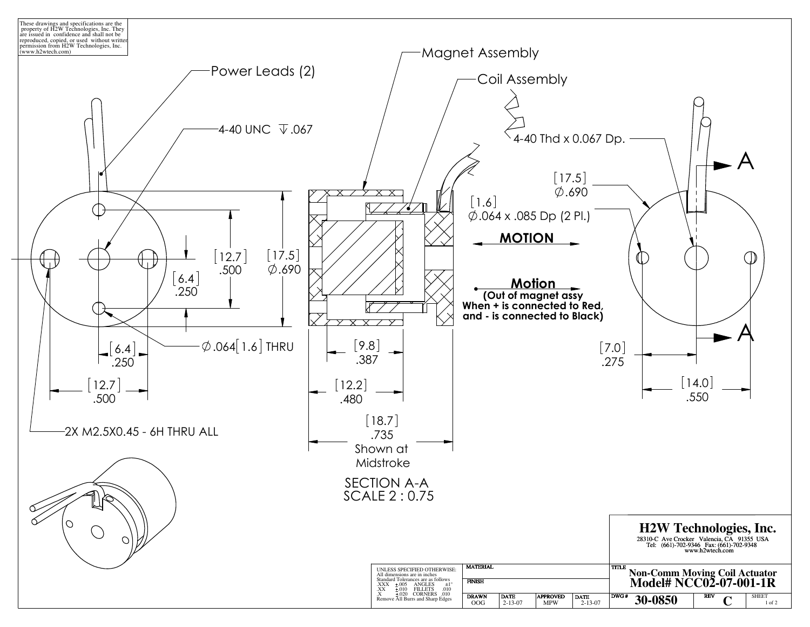